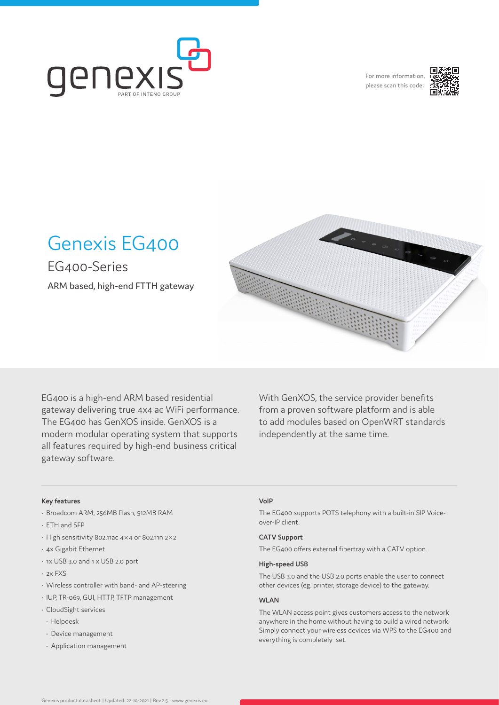

For more information, please scan this code:



# Genexis EG400

EG400-Series

ARM based, high-end FTTH gateway



EG400 is a high-end ARM based residential gateway delivering true 4x4 ac WiFi performance. The EG400 has GenXOS inside. GenXOS is a modern modular operating system that supports all features required by high-end business critical gateway software.

With GenXOS, the service provider benefits from a proven software platform and is able to add modules based on OpenWRT standards independently at the same time.

#### **Key features**

- Broadcom ARM, 256MB Flash, 512MB RAM
- ETH and SFP
- High sensitivity 802.11ac 4×4 or 802.11n 2×2
- 4x Gigabit Ethernet
- 1x USB 3.0 and 1 x USB 2.0 port
- 2x FXS
- Wireless controller with band- and AP-steering
- IUP, TR-069, GUI, HTTP, TFTP management
- CloudSight services
- Helpdesk
- Device management
- Application management

#### **VoIP**

The EG400 supports POTS telephony with a built-in SIP Voiceover-IP client.

#### **CATV Support**

The EG400 offers external fibertray with a CATV option.

#### **High-speed USB**

The USB 3.0 and the USB 2.0 ports enable the user to connect other devices (eg. printer, storage device) to the gateway.

#### **WLAN**

The WLAN access point gives customers access to the network anywhere in the home without having to build a wired network. Simply connect your wireless devices via WPS to the EG400 and everything is completely set.